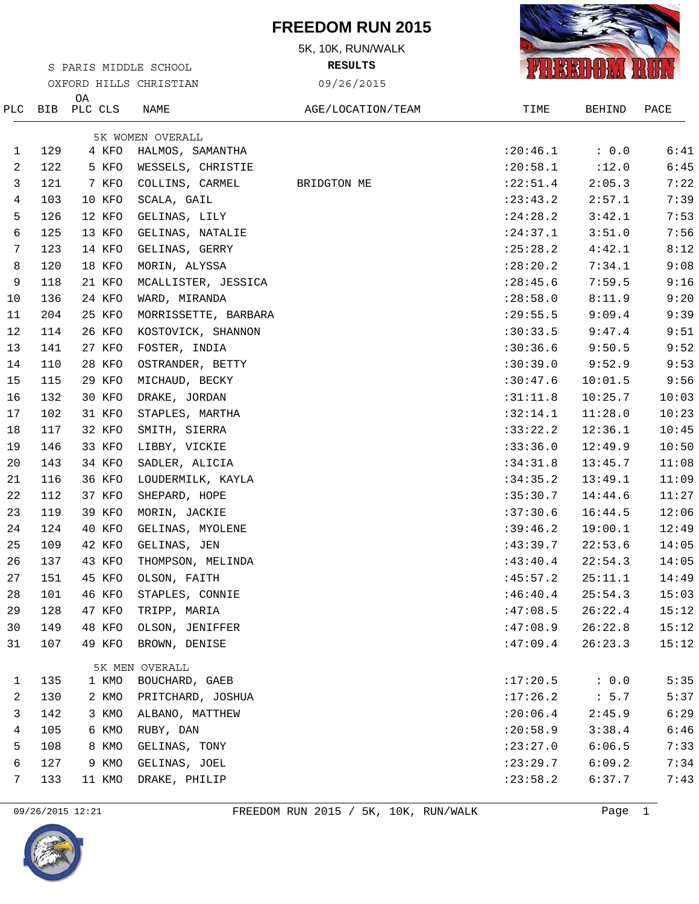## **FREEDOM RUN 2015**

5K, 10K, RUN/WALK

**RESULTS**





|     |     |               | OXFORD HILLS CHRISTIAN           | 09/26/2015        |            |               |       |
|-----|-----|---------------|----------------------------------|-------------------|------------|---------------|-------|
| PLC | BIB | OA<br>PLC CLS | NAME                             | AGE/LOCATION/TEAM | TIME       | <b>BEHIND</b> | PACE  |
|     |     |               | 5K WOMEN OVERALL                 |                   |            |               |       |
| T.  | 129 | 4 KFO         | HALMOS, SAMANTHA                 |                   | : 20:46.1  | : 0.0         | 6:41  |
| 2   | 122 | 5 KFO         | WESSELS, CHRISTIE                |                   | : 20:58.1  | :12.0         | 6:45  |
| 3   | 121 | 7 KFO         | COLLINS, CARMEL                  | BRIDGTON ME       | :22:51.4   | 2:05.3        | 7:22  |
| 4   | 103 | 10 KFO        | SCALA, GAIL                      |                   | : 23: 43.2 | 2:57.1        | 7:39  |
| 5   | 126 | 12 KFO        | GELINAS, LILY                    |                   | : 24:28.2  | 3:42.1        | 7:53  |
| 6   | 125 | 13 KFO        | GELINAS, NATALIE                 |                   | : 24:37.1  | 3:51.0        | 7:56  |
| 7   | 123 | 14 KFO        | GELINAS, GERRY                   |                   | : 25:28.2  | 4:42.1        | 8:12  |
| 8   | 120 | 18 KFO        | MORIN, ALYSSA                    |                   | :28:20.2   | 7:34.1        | 9:08  |
| 9   | 118 | 21 KFO        | MCALLISTER, JESSICA              |                   | : 28:45.6  | 7:59.5        | 9:16  |
| 10  | 136 | 24 KFO        | WARD, MIRANDA                    |                   | :28:58.0   | 8:11.9        | 9:20  |
| 11  | 204 | 25 KFO        | MORRISSETTE, BARBARA             |                   | : 29:55.5  | 9:09.4        | 9:39  |
| 12  | 114 | 26 KFO        | KOSTOVICK, SHANNON               |                   | :30:33.5   | 9:47.4        | 9:51  |
| 13  | 141 | 27 KFO        | FOSTER, INDIA                    |                   | :30:36.6   | 9:50.5        | 9:52  |
| 14  | 110 | 28 KFO        | OSTRANDER, BETTY                 |                   | :30:39.0   | 9:52.9        | 9:53  |
| 15  | 115 | 29 KFO        | MICHAUD, BECKY                   |                   | :30:47.6   | 10:01.5       | 9:56  |
| 16  | 132 | 30 KFO        | DRAKE, JORDAN                    |                   | :31:11.8   | 10:25.7       | 10:03 |
| 17  | 102 | 31 KFO        | STAPLES, MARTHA                  |                   | :32:14.1   | 11:28.0       | 10:23 |
| 18  | 117 | 32 KFO        | SMITH, SIERRA                    |                   | :33:22.2   | 12:36.1       | 10:45 |
| 19  | 146 | 33 KFO        | LIBBY, VICKIE                    |                   | :33:36.0   | 12:49.9       | 10:50 |
| 20  | 143 | 34 KFO        | SADLER, ALICIA                   |                   | :34:31.8   | 13:45.7       | 11:08 |
| 21  | 116 | 36 KFO        | LOUDERMILK, KAYLA                |                   | :34:35.2   | 13:49.1       | 11:09 |
| 22  | 112 | 37 KFO        | SHEPARD, HOPE                    |                   | :35:30.7   | 14:44.6       | 11:27 |
| 23  | 119 | 39 KFO        | MORIN, JACKIE                    |                   | :37:30.6   | 16:44.5       | 12:06 |
| 24  | 124 | 40 KFO        | GELINAS, MYOLENE                 |                   | :39:46.2   | 19:00.1       | 12:49 |
| 25  | 109 | 42 KFO        | GELINAS, JEN                     |                   | :43:39.7   | 22:53.6       | 14:05 |
| 26  | 137 | 43 KFO        | THOMPSON, MELINDA                |                   | :43:40.4   | 22:54.3       | 14:05 |
| 27  | 151 | 45 KFO        | OLSON, FAITH                     |                   | :45:57.2   | 25:11.1       | 14:49 |
| 28  | 101 | 46 KFO        | STAPLES, CONNIE                  |                   | :46:40.4   | 25:54.3       | 15:03 |
| 29  | 128 | 47 KFO        | TRIPP, MARIA                     |                   | :47:08.5   | 26:22.4       | 15:12 |
| 30  | 149 | 48 KFO        | OLSON, JENIFFER                  |                   | :47:08.9   | 26:22.8       | 15:12 |
| 31  | 107 | 49 KFO        | BROWN, DENISE                    |                   | :47:09.4   | 26:23.3       | 15:12 |
| 1   | 135 | 1 KMO         | 5K MEN OVERALL<br>BOUCHARD, GAEB |                   | :17:20.5   | : 0.0         | 5:35  |
| 2   | 130 | 2 KMO         | PRITCHARD, JOSHUA                |                   | :17:26.2   | : 5.7         | 5:37  |
| 3   | 142 | 3 KMO         | ALBANO, MATTHEW                  |                   | : 20:06.4  | 2:45.9        | 6:29  |
| 4   | 105 | 6 KMO         | RUBY, DAN                        |                   | :20:58.9   | 3:38.4        | 6:46  |
| 5   | 108 | 8 KMO         | GELINAS, TONY                    |                   | :23:27.0   | 6:06.5        | 7:33  |
| 6   | 127 | 9 KMO         | GELINAS, JOEL                    |                   | : 23: 29.7 | 6:09.2        | 7:34  |
| 7   | 133 | 11 KMO        | DRAKE, PHILIP                    |                   | : 23:58.2  | 6:37.7        | 7:43  |
|     |     |               |                                  |                   |            |               |       |

S PARIS MIDDLE SCHOOL

09/26/2015 12:21 FREEDOM RUN 2015 / 5K, 10K, RUN/WALK Page 1